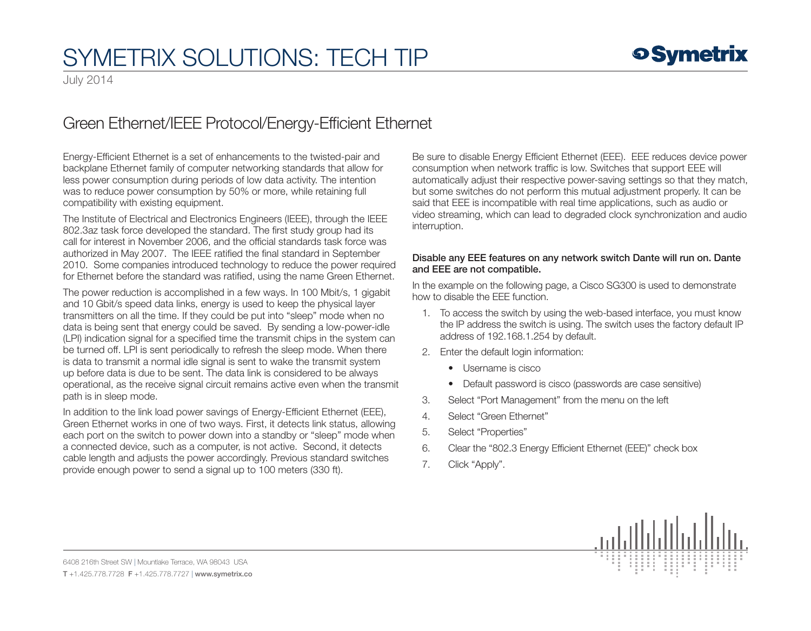## SYMETRIX SOLUTIONS: TECH TIP

July 2014

## Green Ethernet/IEEE Protocol/Energy-Efficient Ethernet

Energy-Efficient Ethernet is a set of enhancements to the twisted-pair and backplane Ethernet family of computer networking standards that allow for less power consumption during periods of low data activity. The intention was to reduce power consumption by 50% or more, while retaining full compatibility with existing equipment.

The Institute of Electrical and Electronics Engineers (IEEE), through the IEEE 802.3az task force developed the standard. The first study group had its call for interest in November 2006, and the official standards task force was authorized in May 2007. The IEEE ratified the final standard in September 2010. Some companies introduced technology to reduce the power required for Ethernet before the standard was ratified, using the name Green Ethernet.

The power reduction is accomplished in a few ways. In 100 Mbit/s, 1 gigabit and 10 Gbit/s speed data links, energy is used to keep the physical layer transmitters on all the time. If they could be put into "sleep" mode when no data is being sent that energy could be saved. By sending a low-power-idle (LPI) indication signal for a specified time the transmit chips in the system can be turned off. LPI is sent periodically to refresh the sleep mode. When there is data to transmit a normal idle signal is sent to wake the transmit system up before data is due to be sent. The data link is considered to be always operational, as the receive signal circuit remains active even when the transmit path is in sleep mode.

In addition to the link load power savings of Energy-Efficient Ethernet (EEE), Green Ethernet works in one of two ways. First, it detects link status, allowing each port on the switch to power down into a standby or "sleep" mode when a connected device, such as a computer, is not active. Second, it detects cable length and adjusts the power accordingly. Previous standard switches provide enough power to send a signal up to 100 meters (330 ft).

Be sure to disable Energy Efficient Ethernet (EEE). EEE reduces device power consumption when network traffic is low. Switches that support EEE will automatically adjust their respective power-saving settings so that they match, but some switches do not perform this mutual adjustment properly. It can be said that EEE is incompatible with real time applications, such as audio or video streaming, which can lead to degraded clock synchronization and audio interruption.

## Disable any EEE features on any network switch Dante will run on. Dante and EEE are not compatible.

In the example on the following page, a Cisco SG300 is used to demonstrate how to disable the EEE function.

- 1. To access the switch by using the web-based interface, you must know the IP address the switch is using. The switch uses the factory default IP address of 192.168.1.254 by default.
- 2. Enter the default login information:
	- Username is cisco
	- Default password is cisco (passwords are case sensitive)
- 3. Select "Port Management" from the menu on the left
- 4. Select "Green Ethernet"
- 5. Select "Properties"
- 6. Clear the "802.3 Energy Efficient Ethernet (EEE)" check box
- 7. Click "Apply".



6408 216th Street SW | Mountlake Terrace, WA 98043 USA T +1.425.778.7728 F +1.425.778.7727 | www.symetrix.co